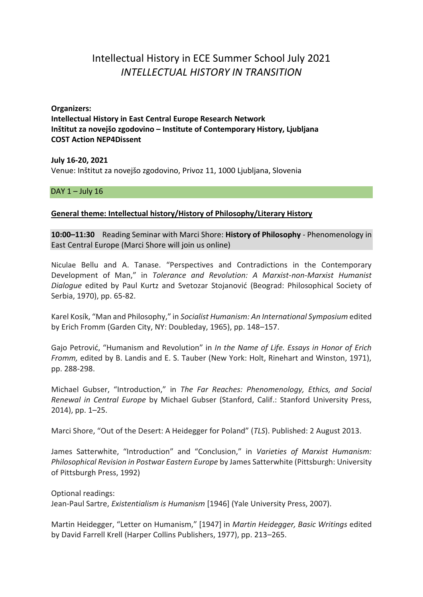# Intellectual History in ECE Summer School July 2021 *INTELLECTUAL HISTORY IN TRANSITION*

**Organizers: Intellectual History in East Central Europe Research Network Inštitut za novejšo zgodovino – Institute of Contemporary History, Ljubljana COST Action NEP4Dissent**

**July 16-20, 2021** Venue: Inštitut za novejšo zgodovino, Privoz 11, 1000 Ljubljana, Slovenia

DAY  $1 -$  July  $16$ 

## **General theme: Intellectual history/History of Philosophy/Literary History**

**10:00–11:30** Reading Seminar with Marci Shore: **History of Philosophy** - Phenomenology in East Central Europe (Marci Shore will join us online)

Niculae Bellu and A. Tanase. "Perspectives and Contradictions in the Contemporary Development of Man," in *Tolerance and Revolution: A Marxist-non-Marxist Humanist Dialogue* edited by Paul Kurtz and Svetozar Stojanović (Beograd: Philosophical Society of Serbia, 1970), pp. 65-82.

Karel Kosík, "Man and Philosophy," in *Socialist Humanism: An International Symposium* edited by Erich Fromm (Garden City, NY: Doubleday, 1965), pp. 148–157.

Gajo Petrović, "Humanism and Revolution" in *In the Name of Life. Essays in Honor of Erich Fromm,* edited by B. Landis and E. S. Tauber (New York: Holt, Rinehart and Winston, 1971), pp. 288-298.

Michael Gubser, "Introduction," in *The Far Reaches: Phenomenology, Ethics, and Social Renewal in Central Europe* by Michael Gubser (Stanford, Calif.: Stanford University Press, 2014), pp. 1–25.

Marci Shore, "Out of the Desert: A Heidegger for Poland" (*TLS*). Published: 2 August 2013.

James Satterwhite, "Introduction" and "Conclusion," in *Varieties of Marxist Humanism: Philosophical Revision in Postwar Eastern Europe* by James Satterwhite (Pittsburgh: University of Pittsburgh Press, 1992)

Optional readings: Jean-Paul Sartre, *Existentialism is Humanism* [1946] (Yale University Press, 2007).

Martin Heidegger, "Letter on Humanism," [1947] in *Martin Heidegger, Basic Writings* edited by David Farrell Krell (Harper Collins Publishers, 1977), pp. 213–265.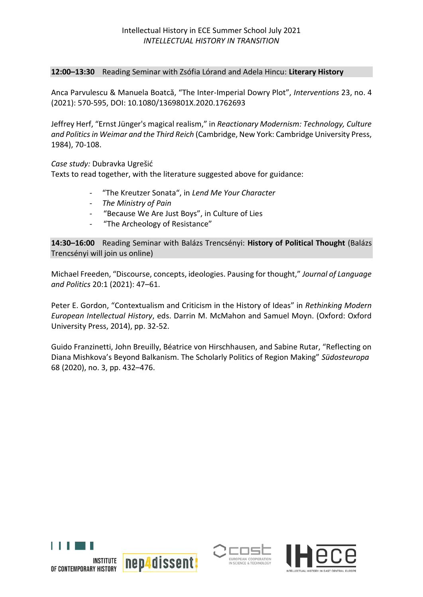## **12:00–13:30** Reading Seminar with Zsófia Lórand and Adela Hincu: **Literary History**

Anca Parvulescu & Manuela Boatcă, "The Inter-Imperial Dowry Plot", *Interventions* 23, no. 4 (2021): 570-595, DOI: 10.1080/1369801X.2020.1762693

Jeffrey Herf, "Ernst Jünger's magical realism," in *Reactionary Modernism: Technology, Culture and Politics in Weimar and the Third Reich* (Cambridge, New York: Cambridge University Press, 1984), 70-108.

*Case study:* Dubravka Ugrešić

Texts to read together, with the literature suggested above for guidance:

- "The Kreutzer Sonata", in *Lend Me Your Character*
- *The Ministry of Pain*
- "Because We Are Just Boys", in Culture of Lies
- "The Archeology of Resistance"

**14:30–16:00** Reading Seminar with Balázs Trencsényi: **History of Political Thought** (Balázs Trencsényi will join us online)

Michael Freeden, "Discourse, concepts, ideologies. Pausing for thought," *Journal of Language and Politics* 20:1 (2021): 47–61.

Peter E. Gordon, "Contextualism and Criticism in the History of Ideas" in *Rethinking Modern European Intellectual History*, eds. Darrin M. McMahon and Samuel Moyn. (Oxford: Oxford University Press, 2014), pp. 32-52.

Guido Franzinetti, John Breuilly, Béatrice von Hirschhausen, and Sabine Rutar, "Reflecting on Diana Mishkova's Beyond Balkanism. The Scholarly Politics of Region Making" *Südosteuropa* 68 (2020), no. 3, pp. 432–476.





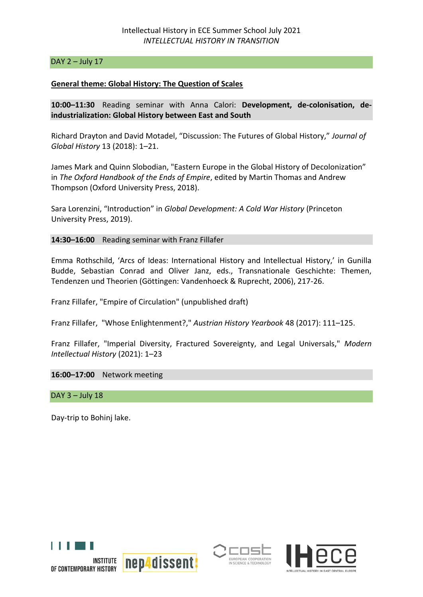### DAY  $2$  – July 17

### **General theme: Global History: The Question of Scales**

**10:00–11:30** Reading seminar with Anna Calori: **Development, de-colonisation, deindustrialization: Global History between East and South**

Richard Drayton and David Motadel, "Discussion: The Futures of Global History," *Journal of Global History* 13 (2018): 1–21.

James Mark and Quinn Slobodian, "Eastern Europe in the Global History of Decolonization" in *The Oxford Handbook of the Ends of Empire*, edited by Martin Thomas and Andrew Thompson (Oxford University Press, 2018).

Sara Lorenzini, "Introduction" in *Global Development: A Cold War History* (Princeton University Press, 2019).

**14:30–16:00** Reading seminar with Franz Fillafer

Emma Rothschild, 'Arcs of Ideas: International History and Intellectual History,' in Gunilla Budde, Sebastian Conrad and Oliver Janz, eds., Transnationale Geschichte: Themen, Tendenzen und Theorien (Göttingen: Vandenhoeck & Ruprecht, 2006), 217-26.

Franz Fillafer, "Empire of Circulation" (unpublished draft)

Franz Fillafer, "Whose Enlightenment?," *Austrian History Yearbook* 48 (2017): 111–125.

Franz Fillafer, "Imperial Diversity, Fractured Sovereignty, and Legal Universals," *Modern Intellectual History* (2021): 1–23

**16:00–17:00** Network meeting

 $DAY$  3 – July 18

Day-trip to Bohinj lake.







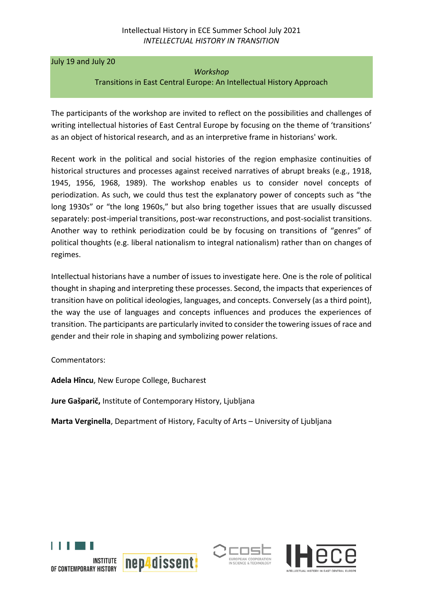July 19 and July 20

#### *Workshop*

Transitions in East Central Europe: An Intellectual History Approach

The participants of the workshop are invited to reflect on the possibilities and challenges of writing intellectual histories of East Central Europe by focusing on the theme of 'transitions' as an object of historical research, and as an interpretive frame in historians' work.

Recent work in the political and social histories of the region emphasize continuities of historical structures and processes against received narratives of abrupt breaks (e.g., 1918, 1945, 1956, 1968, 1989). The workshop enables us to consider novel concepts of periodization. As such, we could thus test the explanatory power of concepts such as "the long 1930s" or "the long 1960s," but also bring together issues that are usually discussed separately: post-imperial transitions, post-war reconstructions, and post-socialist transitions. Another way to rethink periodization could be by focusing on transitions of "genres" of political thoughts (e.g. liberal nationalism to integral nationalism) rather than on changes of regimes.

Intellectual historians have a number of issues to investigate here. One is the role of political thought in shaping and interpreting these processes. Second, the impacts that experiences of transition have on political ideologies, languages, and concepts. Conversely (as a third point), the way the use of languages and concepts influences and produces the experiences of transition. The participants are particularly invited to consider the towering issues of race and gender and their role in shaping and symbolizing power relations.

Commentators:

**Adela Hîncu**, New Europe College, Bucharest

**Jure Gašparič,** Institute of Contemporary History, Ljubljana

**Marta Verginella**, Department of History, Faculty of Arts – University of Ljubljana





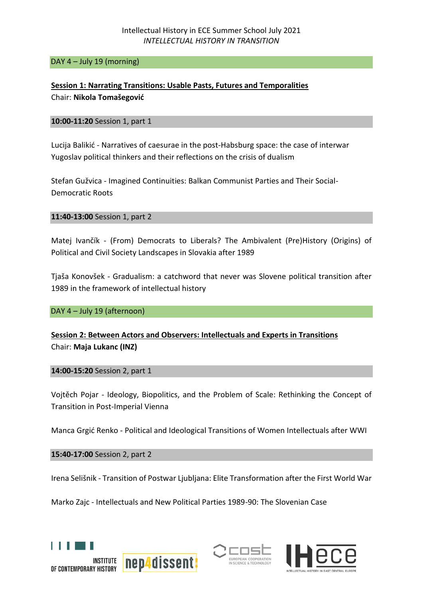DAY 4 – July 19 (morning)

**Session 1: Narrating Transitions: Usable Pasts, Futures and Temporalities** Chair: **Nikola Tomašegović**

## **10:00-11:20** Session 1, part 1

Lucija Balikić - Narratives of caesurae in the post-Habsburg space: the case of interwar Yugoslav political thinkers and their reflections on the crisis of dualism

Stefan Gužvica - Imagined Continuities: Balkan Communist Parties and Their Social-Democratic Roots

**11:40-13:00** Session 1, part 2

Matej Ivančík - (From) Democrats to Liberals? The Ambivalent (Pre)History (Origins) of Political and Civil Society Landscapes in Slovakia after 1989

Tjaša Konovšek - Gradualism: a catchword that never was Slovene political transition after 1989 in the framework of intellectual history

DAY 4 – July 19 (afternoon)

# **Session 2: Between Actors and Observers: Intellectuals and Experts in Transitions** Chair: **Maja Lukanc (INZ)**

**14:00-15:20** Session 2, part 1

Vojtěch Pojar - Ideology, Biopolitics, and the Problem of Scale: Rethinking the Concept of Transition in Post-Imperial Vienna

Manca Grgić Renko - Political and Ideological Transitions of Women Intellectuals after WWI

**15:40-17:00** Session 2, part 2

Irena Selišnik - Transition of Postwar Ljubljana: Elite Transformation after the First World War

Marko Zajc - Intellectuals and New Political Parties 1989-90: The Slovenian Case





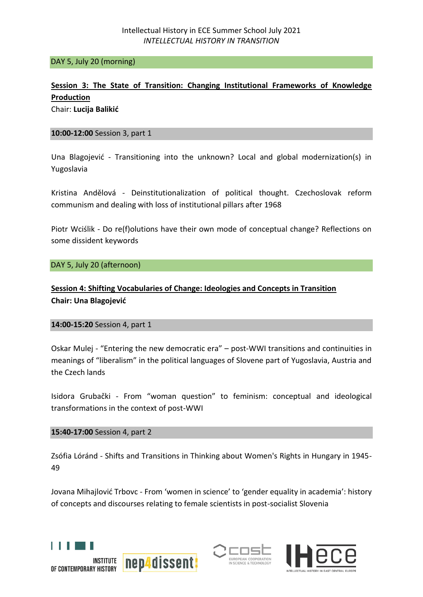### DAY 5, July 20 (morning)

# **Session 3: The State of Transition: Changing Institutional Frameworks of Knowledge Production**

Chair: **Lucija Balikić** 

### **10:00-12:00** Session 3, part 1

Una Blagojević - Transitioning into the unknown? Local and global modernization(s) in Yugoslavia

Kristina Andělová - Deinstitutionalization of political thought. Czechoslovak reform communism and dealing with loss of institutional pillars after 1968

Piotr Wciślik - Do re(f)olutions have their own mode of conceptual change? Reflections on some dissident keywords

DAY 5, July 20 (afternoon)

# **Session 4: Shifting Vocabularies of Change: Ideologies and Concepts in Transition Chair: Una Blagojević**

### **14:00-15:20** Session 4, part 1

Oskar Mulej - "Entering the new democratic era" – post-WWI transitions and continuities in meanings of "liberalism" in the political languages of Slovene part of Yugoslavia, Austria and the Czech lands

Isidora Grubački - From "woman question" to feminism: conceptual and ideological transformations in the context of post-WWI

**15:40-17:00** Session 4, part 2

Zsófia Lóránd - Shifts and Transitions in Thinking about Women's Rights in Hungary in 1945- 49

Jovana Mihajlović Trbovc - From 'women in science' to 'gender equality in academia': history of concepts and discourses relating to female scientists in post-socialist Slovenia